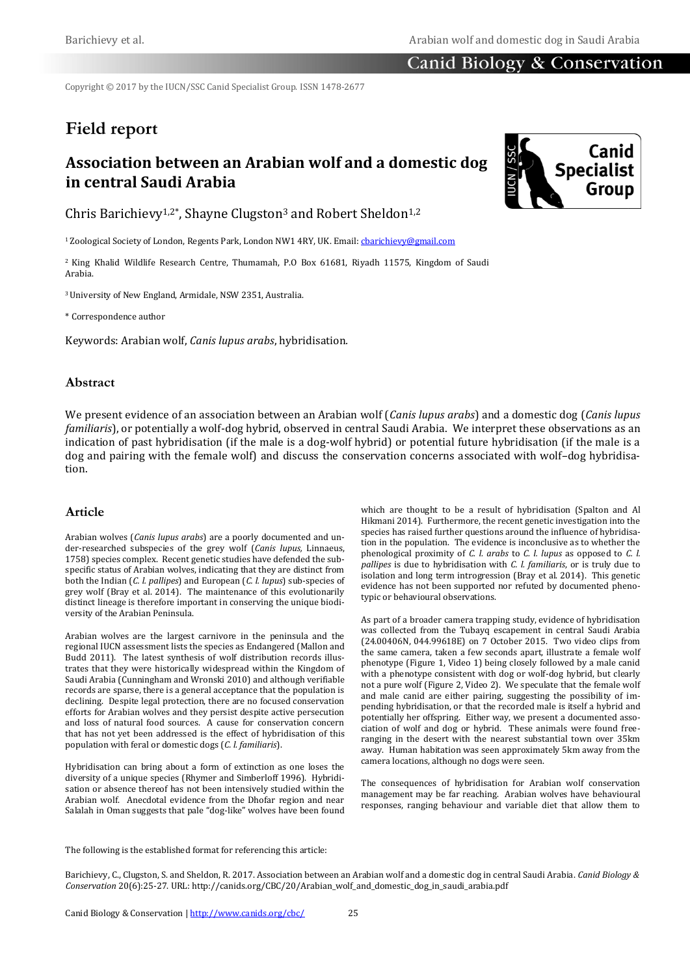### Canid Biology & Conservation

Copyright © 2017 by the IUCN/SSC Canid Specialist Group. ISSN 1478-2677

# **Field report**

## **Association between an Arabian wolf and a domestic dog in central Saudi Arabia**

Chris Barichievy<sup>1,2\*</sup>, Shayne Clugston<sup>3</sup> and Robert Sheldon<sup>1,2</sup>

<sup>1</sup>Zoological Society of London, Regents Park, London NW1 4RY, UK. Email: charichievy@gmail.com

<sup>2</sup> King Khalid Wildlife Research Centre, Thumamah, P.O Box 61681, Riyadh 11575, Kingdom of Saudi Arabia.

<sup>3</sup>University of New England, Armidale, NSW 2351, Australia.

\* Correspondence author

Keywords: Arabian wolf, *Canis lupus arabs*, hybridisation*.*

#### **Abstract**

We present evidence of an association between an Arabian wolf (*Canis lupus arabs*) and a domestic dog (*Canis lupus familiaris*), or potentially a wolf-dog hybrid, observed in central Saudi Arabia. We interpret these observations as an indication of past hybridisation (if the male is a dog-wolf hybrid) or potential future hybridisation (if the male is a dog and pairing with the female wolf) and discuss the conservation concerns associated with wolf–dog hybridisation.

#### **Article**

Arabian wolves (*Canis lupus arabs*) are a poorly documented and under-researched subspecies of the grey wolf (*Canis lupus,* Linnaeus, 1758) species complex. Recent genetic studies have defended the subspecific status of Arabian wolves, indicating that they are distinct from both the Indian (*C. l. pallipes*) and European (*C. l. lupus*) sub-species of grey wolf (Bray et al. 2014). The maintenance of this evolutionarily distinct lineage is therefore important in conserving the unique biodiversity of the Arabian Peninsula.

Arabian wolves are the largest carnivore in the peninsula and the regional IUCN assessment lists the species as Endangered (Mallon and Budd 2011). The latest synthesis of wolf distribution records illustrates that they were historically widespread within the Kingdom of Saudi Arabia (Cunningham and Wronski 2010) and although verifiable records are sparse, there is a general acceptance that the population is declining. Despite legal protection, there are no focused conservation efforts for Arabian wolves and they persist despite active persecution and loss of natural food sources. A cause for conservation concern that has not yet been addressed is the effect of hybridisation of this population with feral or domestic dogs (*C. l. familiaris*).

Hybridisation can bring about a form of extinction as one loses the diversity of a unique species (Rhymer and Simberloff 1996). Hybridisation or absence thereof has not been intensively studied within the Arabian wolf. Anecdotal evidence from the Dhofar region and near Salalah in Oman suggests that pale "dog-like" wolves have been found

which are thought to be a result of hybridisation (Spalton and Al Hikmani 2014). Furthermore, the recent genetic investigation into the species has raised further questions around the influence of hybridisation in the population. The evidence is inconclusive as to whether the phenological proximity of *C. l. arabs* to *C. l. lupus* as opposed to *C. l. pallipes* is due to hybridisation with *C. l. familiaris*, or is truly due to isolation and long term introgression (Bray et al. 2014). This genetic evidence has not been supported nor refuted by documented phenotypic or behavioural observations.

As part of a broader camera trapping study, evidence of hybridisation was collected from the Tubayq escapement in central Saudi Arabia (24.00406N, 044.99618E) on 7 October 2015. Two video clips from the same camera, taken a few seconds apart, illustrate a female wolf phenotype (Figure 1, Video 1) being closely followed by a male canid with a phenotype consistent with dog or wolf-dog hybrid, but clearly not a pure wolf (Figure 2, Video 2). We speculate that the female wolf and male canid are either pairing, suggesting the possibility of impending hybridisation, or that the recorded male is itself a hybrid and potentially her offspring. Either way, we present a documented association of wolf and dog or hybrid. These animals were found freeranging in the desert with the nearest substantial town over 35km away. Human habitation was seen approximately 5km away from the camera locations, although no dogs were seen.

The consequences of hybridisation for Arabian wolf conservation management may be far reaching. Arabian wolves have behavioural responses, ranging behaviour and variable diet that allow them to

The following is the established format for referencing this article:

Barichievy, C., Clugston, S. and Sheldon, R. 2017. Association between an Arabian wolf and a domestic dog in central Saudi Arabia. *Canid Biology & Conservation* 20(6):25-27. URL: http://canids.org/CBC/20/Arabian\_wolf\_and\_domestic\_dog\_in\_saudi\_arabia.pdf

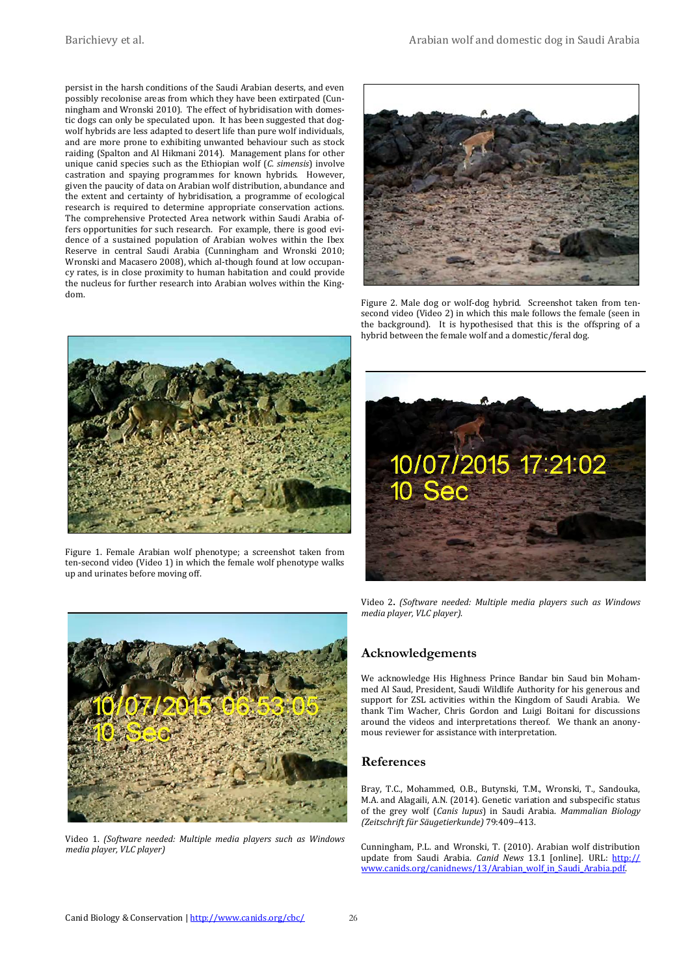persist in the harsh conditions of the Saudi Arabian deserts, and even possibly recolonise areas from which they have been extirpated (Cunningham and Wronski 2010). The effect of hybridisation with domestic dogs can only be speculated upon. It has been suggested that dogwolf hybrids are less adapted to desert life than pure wolf individuals, and are more prone to exhibiting unwanted behaviour such as stock raiding (Spalton and Al Hikmani 2014). Management plans for other unique canid species such as the Ethiopian wolf (*C. simensis*) involve castration and spaying programmes for known hybrids. However, given the paucity of data on Arabian wolf distribution, abundance and the extent and certainty of hybridisation, a programme of ecological research is required to determine appropriate conservation actions. The comprehensive Protected Area network within Saudi Arabia offers opportunities for such research. For example, there is good evidence of a sustained population of Arabian wolves within the Ibex Reserve in central Saudi Arabia (Cunningham and Wronski 2010; Wronski and Macasero 2008), which al-though found at low occupancy rates, is in close proximity to human habitation and could provide the nucleus for further research into Arabian wolves within the Kingdom.



Figure 2. Male dog or wolf-dog hybrid. Screenshot taken from tensecond video (Video 2) in which this male follows the female (seen in the background). It is hypothesised that this is the offspring of a hybrid between the female wolf and a domestic/feral dog.



Figure 1. Female Arabian wolf phenotype; a screenshot taken from ten-second video (Video 1) in which the female wolf phenotype walks up and urinates before moving off.





Video 1. *(Software needed: Multiple media players such as Windows media player, VLC player)*

Video 2**.** *(Software needed: Multiple media players such as Windows media player, VLC player)*.

#### **Acknowledgements**

We acknowledge His Highness Prince Bandar bin Saud bin Mohammed Al Saud, President, Saudi Wildlife Authority for his generous and support for ZSL activities within the Kingdom of Saudi Arabia. We thank Tim Wacher, Chris Gordon and Luigi Boitani for discussions around the videos and interpretations thereof. We thank an anonymous reviewer for assistance with interpretation.

#### **References**

Bray, T.C., Mohammed, O.B., Butynski, T.M., Wronski, T., Sandouka, M.A. and Alagaili, A.N. (2014). Genetic variation and subspecific status of the grey wolf (*Canis lupus*) in Saudi Arabia. *Mammalian Biology (Zeitschrift für Säugetierkunde)* 79:409–413.

Cunningham, P.L. and Wronski, T. (2010). Arabian wolf distribution update from Saudi Arabia. *Canid News* 13.1 [online]. URL: [http://](http://www.canids.org/canidnews/13/Arabian_wolf_in_Saudi_Arabia.pdf) [www.canids.org/canidnews/13/Arabian\\_wolf\\_in\\_Saudi\\_Arabia.pdf.](http://www.canids.org/canidnews/13/Arabian_wolf_in_Saudi_Arabia.pdf)